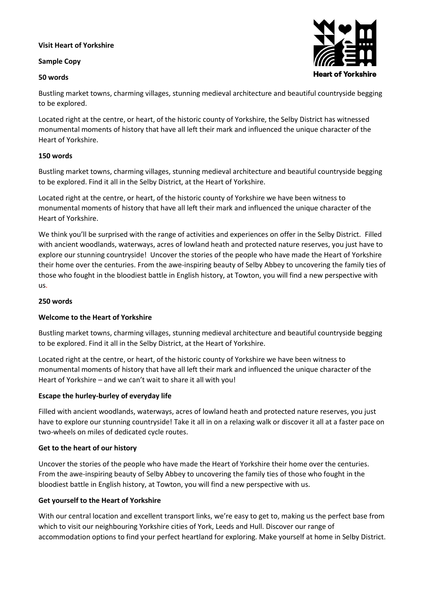### **Visit Heart of Yorkshire**

#### **Sample Copy**

#### **50 words**



Bustling market towns, charming villages, stunning medieval architecture and beautiful countryside begging to be explored.

Located right at the centre, or heart, of the historic county of Yorkshire, the Selby District has witnessed monumental moments of history that have all left their mark and influenced the unique character of the Heart of Yorkshire.

#### **150 words**

Bustling market towns, charming villages, stunning medieval architecture and beautiful countryside begging to be explored. Find it all in the Selby District, at the Heart of Yorkshire.

Located right at the centre, or heart, of the historic county of Yorkshire we have been witness to monumental moments of history that have all left their mark and influenced the unique character of the Heart of Yorkshire.

We think you'll be surprised with the range of activities and experiences on offer in the Selby District. Filled with ancient woodlands, waterways, acres of lowland heath and protected nature reserves, you just have to explore our stunning countryside! Uncover the stories of the people who have made the Heart of Yorkshire their home over the centuries. From the awe-inspiring beauty of Selby Abbey to uncovering the family ties of those who fought in the bloodiest battle in English history, at Towton, you will find a new perspective with us.

### **250 words**

# **Welcome to the Heart of Yorkshire**

Bustling market towns, charming villages, stunning medieval architecture and beautiful countryside begging to be explored. Find it all in the Selby District, at the Heart of Yorkshire.

Located right at the centre, or heart, of the historic county of Yorkshire we have been witness to monumental moments of history that have all left their mark and influenced the unique character of the Heart of Yorkshire – and we can't wait to share it all with you!

# **Escape the hurley-burley of everyday life**

Filled with ancient woodlands, waterways, acres of lowland heath and protected nature reserves, you just have to explore our stunning countryside! Take it all in on a relaxing walk or discover it all at a faster pace on two-wheels on miles of dedicated cycle routes.

#### **Get to the heart of our history**

Uncover the stories of the people who have made the Heart of Yorkshire their home over the centuries. From the awe-inspiring beauty of Selby Abbey to uncovering the family ties of those who fought in the bloodiest battle in English history, at Towton, you will find a new perspective with us.

# **Get yourself to the Heart of Yorkshire**

With our central location and excellent transport links, we're easy to get to, making us the perfect base from which to visit our neighbouring Yorkshire cities of York, Leeds and Hull. Discover our range of accommodation options to find your perfect heartland for exploring. Make yourself at home in Selby District.